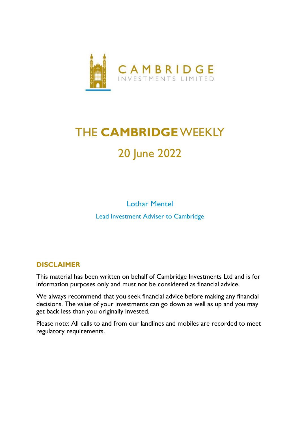

# THE **CAMBRIDGE**WEEKLY 20 June 2022

Lothar Mentel Lead Investment Adviser to Cambridge

## **DISCLAIMER**

This material has been written on behalf of Cambridge Investments Ltd and is for information purposes only and must not be considered as financial advice.

We always recommend that you seek financial advice before making any financial decisions. The value of your investments can go down as well as up and you may get back less than you originally invested.

Please note: All calls to and from our landlines and mobiles are recorded to meet regulatory requirements.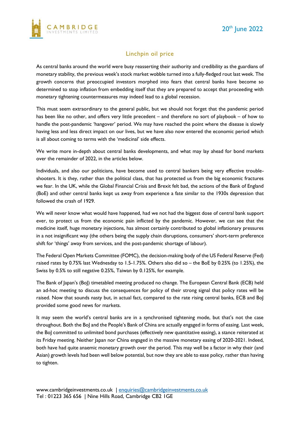

#### Linchpin oil price

As central banks around the world were busy reasserting their authority and credibility as the guardians of monetary stability, the previous week's stock market wobble turned into a fully-fledged rout last week. The growth concerns that preoccupied investors morphed into fears that central banks have become so determined to stop inflation from embedding itself that they are prepared to accept that proceeding with monetary tightening countermeasures may indeed lead to a global recession.

This must seem extraordinary to the general public, but we should not forget that the pandemic period has been like no other, and offers very little precedent – and therefore no sort of playbook – of how to handle the post-pandemic 'hangover' period. We may have reached the point where the disease is slowly having less and less direct impact on our lives, but we have also now entered the economic period which is all about coming to terms with the 'medicinal' side effects.

We write more in-depth about central banks developments, and what may lay ahead for bond markets over the remainder of 2022, in the articles below.

Individuals, and also our politicians, have become used to central bankers being very effective troubleshooters. It is they, rather than the political class, that has protected us from the big economic fractures we fear. In the UK, while the Global Financial Crisis and Brexit felt bad, the actions of the Bank of England (BoE) and other central banks kept us away from experience a fate similar to the 1930s depression that followed the crash of 1929.

We will never know what would have happened, had we not had the biggest dose of central bank support ever, to protect us from the economic pain inflicted by the pandemic. However, we can see that the medicine itself, huge monetary injections, has almost certainly contributed to global inflationary pressures in a not insignificant way (the others being the supply chain disruptions, consumers' short-term preference shift for 'things' away from services, and the post-pandemic shortage of labour).

The Federal Open Markets Committee (FOMC), the decision-making body of the US Federal Reserve (Fed) raised rates by 0.75% last Wednesday to 1.5-1.75%. Others also did so – the BoE by 0.25% (to 1.25%), the Swiss by 0.5% to still negative 0.25%, Taiwan by 0.125%, for example.

The Bank of Japan's (BoJ) timetabled meeting produced no change. The European Central Bank (ECB) held an ad-hoc meeting to discuss the consequences for policy of their strong signal that policy rates will be raised. Now that sounds nasty but, in actual fact, compared to the rate rising central banks, ECB and BoJ provided some good news for markets.

It may seem the world's central banks are in a synchronised tightening mode, but that's not the case throughout. Both the BoJ and the People's Bank of China are actually engaged in forms of easing. Last week, the BoJ committed to unlimited bond purchases (effectively new quantitative easing), a stance reiterated at its Friday meeting. Neither Japan nor China engaged in the massive monetary easing of 2020-2021. Indeed, both have had quite anaemic monetary growth over the period. This may well be a factor in why their (and Asian) growth levels had been well below potential, but now they are able to ease policy, rather than having to tighten.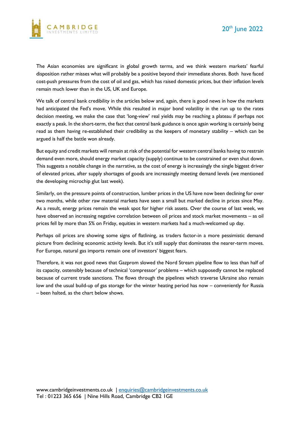



The Asian economies are significant in global growth terms, and we think western markets' fearful disposition rather misses what will probably be a positive beyond their immediate shores. Both have faced cost-push pressures from the cost of oil and gas, which has raised domestic prices, but their inflation levels remain much lower than in the US, UK and Europe.

We talk of central bank credibility in the articles below and, again, there is good news in how the markets had anticipated the Fed's move. While this resulted in major bond volatility in the run up to the rates decision meeting, we make the case that 'long-view' real yields may be reaching a plateau if perhaps not exactly a peak. In the short-term, the fact that central bank guidance is once again working is certainly being read as them having re-established their credibility as the keepers of monetary stability – which can be argued is half the battle won already.

But equity and credit markets will remain at risk of the potential for western central banks having to restrain demand even more, should energy market capacity (supply) continue to be constrained or even shut down. This suggests a notable change in the narrative, as the cost of energy is increasingly the single biggest driver of elevated prices, after supply shortages of goods are increasingly meeting demand levels (we mentioned the developing microchip glut last week).

Similarly, on the pressure points of construction, lumber prices in the US have now been declining for over two months, while other raw material markets have seen a small but marked decline in prices since May. As a result, energy prices remain the weak spot for higher risk assets. Over the course of last week, we have observed an increasing negative correlation between oil prices and stock market movements – as oil prices fell by more than 5% on Friday, equities in western markets had a much-welcomed up day.

Perhaps oil prices are showing some signs of flatlining, as traders factor-in a more pessimistic demand picture from declining economic activity levels. But it's still supply that dominates the nearer-term moves. For Europe, natural gas imports remain one of investors' biggest fears.

Therefore, it was not good news that Gazprom slowed the Nord Stream pipeline flow to less than half of its capacity, ostensibly because of technical 'compressor' problems – which supposedly cannot be replaced because of current trade sanctions. The flows through the pipelines which traverse Ukraine also remain low and the usual build-up of gas storage for the winter heating period has now – conveniently for Russia – been halted, as the chart below shows.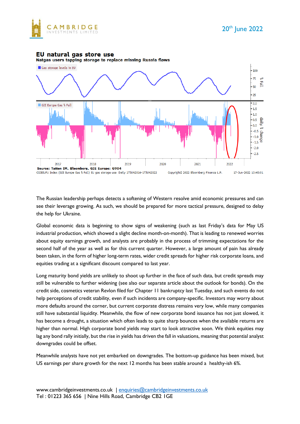

#### EU natural gas store use





The Russian leadership perhaps detects a softening of Western resolve amid economic pressures and can see their leverage growing. As such, we should be prepared for more tactical pressure, designed to delay the help for Ukraine.

Global economic data is beginning to show signs of weakening (such as last Friday's data for May US industrial production, which showed a slight decline month-on-month). That is leading to renewed worries about equity earnings growth, and analysts are probably in the process of trimming expectations for the second half of the year as well as for this current quarter. However, a large amount of pain has already been taken, in the form of higher long-term rates, wider credit spreads for higher risk corporate loans, and equities trading at a significant discount compared to last year.

Long maturity bond yields are unlikely to shoot up further in the face of such data, but credit spreads may still be vulnerable to further widening (see also our separate article about the outlook for bonds). On the credit side, cosmetics veteran Revlon filed for Chapter 11 bankruptcy last Tuesday, and such events do not help perceptions of credit stability, even if such incidents are company-specific. Investors may worry about more defaults around the corner, but current corporate distress remains very low, while many companies still have substantial liquidity. Meanwhile, the flow of new corporate bond issuance has not just slowed, it has become a drought, a situation which often leads to quite sharp bounces when the available returns are higher than normal. High corporate bond yields may start to look attractive soon. We think equities may lag any bond rally initially, but the rise in yields has driven the fall in valuations, meaning that potential analyst downgrades could be offset.

Meanwhile analysts have not yet embarked on downgrades. The bottom-up guidance has been mixed, but US earnings per share growth for the next 12 months has been stable around a healthy-ish 6%.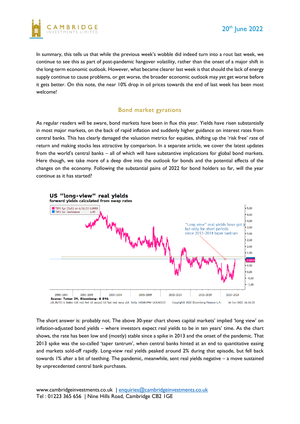

In summary, this tells us that while the previous week's wobble did indeed turn into a rout last week, we continue to see this as part of post-pandemic hangover volatility, rather than the onset of a major shift in the long-term economic outlook. However, what became clearer last week is that should the lack of energy supply continue to cause problems, or get worse, the broader economic outlook may yet get worse before it gets better. On this note, the near 10% drop in oil prices towards the end of last week has been most welcome!

#### Bond market gyrations

As regular readers will be aware, bond markets have been in flux this year. Yields have risen substantially in most major markets, on the back of rapid inflation and suddenly higher guidance on interest rates from central banks. This has clearly damaged the valuation metrics for equities, shifting up the 'risk free' rate of return and making stocks less attractive by comparison. In a separate article, we cover the latest updates from the world's central banks – all of which will have substantive implications for global bond markets. Here though, we take more of a deep dive into the outlook for bonds and the potential effects of the changes on the economy. Following the substantial pains of 2022 for bond holders so far, will the year continue as it has started?



The short answer is: probably not. The above 30-year chart shows capital markets' implied 'long view' on inflation-adjusted bond yields – where investors expect real yields to be in ten years' time. As the chart shows, the rate has been low and (mostly) stable since a spike in 2013 and the onset of the pandemic. That 2013 spike was the so-called 'taper tantrum', when central banks hinted at an end to quantitative easing and markets sold-off rapidly. Long-view real yields peaked around 2% during that episode, but fell back towards 1% after a bit of teething. The pandemic, meanwhile, sent real yields negative – a move sustained by unprecedented central bank purchases.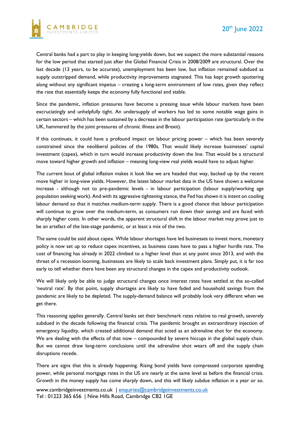

Central banks had a part to play in keeping long-yields down, but we suspect the more substantial reasons for the low period that started just after the Global Financial Crisis in 2008/2009 are structural. Over the last decade (13 years, to be accurate), unemployment has been low, but inflation remained subdued as supply outstripped demand, while productivity improvements stagnated. This has kept growth sputtering along without any significant impetus – creating a long-term environment of low rates, given they reflect the rate that essentially keeps the economy fully functional and stable.

Since the pandemic, inflation pressures have become a pressing issue while labour markets have been excruciatingly and unhelpfully tight. An undersupply of workers has led to some notable wage gains in certain sectors – which has been sustained by a decrease in the labour participation rate (particularly in the UK, hammered by the joint pressures of chronic illness and Brexit).

If this continues, it could have a profound impact on labour pricing power – which has been severely constrained since the neoliberal policies of the 1980s. That would likely increase businesses' capital investment (capex), which in turn would increase productivity down the line. That would be a structural move toward higher growth and inflation – meaning long-view real yields would have to adjust higher.

The current bout of global inflation makes it look like we are headed that way, backed up by the recent move higher in long-view yields. However, the latest labour market data in the US have shown a welcome increase - although not to pre-pandemic levels - in labour participation (labour supply/working age population seeking work). And with its aggressive tightening stance, the Fed has shown it is intent on cooling labour demand so that it matches medium-term supply. There is a good chance that labour participation will continue to grow over the medium-term, as consumers run down their savings and are faced with sharply higher costs. In other words, the apparent structural shift in the labour market may prove just to be an artefact of the late-stage pandemic, or at least a mix of the two.

The same could be said about capex. While labour shortages have led businesses to invest more, monetary policy is now set up to reduce capex incentives, as business cases have to pass a higher hurdle rate. The cost of financing has already in 2022 climbed to a higher level than at any point since 2013, and with the threat of a recession looming, businesses are likely to scale back investment plans. Simply put, it is far too early to tell whether there have been any structural changes in the capex and productivity outlook.

We will likely only be able to judge structural changes once interest rates have settled at the so-called 'neutral rate'. By that point, supply shortages are likely to have faded and household savings from the pandemic are likely to be depleted. The supply-demand balance will probably look very different when we get there.

This reasoning applies generally. Central banks set their benchmark rates relative to real growth, severely subdued in the decade following the financial crisis. The pandemic brought an extraordinary injection of emergency liquidity, which created additional demand that acted as an adrenaline shot for the economy. We are dealing with the effects of that now – compounded by severe hiccups in the global supply chain. But we cannot draw long-term conclusions until the adrenaline shot wears off and the supply chain disruptions recede.

There are signs that this is already happening. Rising bond yields have compressed corporate spending power, while personal mortgage rates in the US are nearly at the same level as before the financial crisis. Growth in the money supply has come sharply down, and this will likely subdue inflation in a year or so.

www.cambridgeinvestments.co.uk | [enquiries@cambridgeinvestments.co.uk](mailto:enquiries@cambridgeinvestments.co.uk) Tel : 01223 365 656 | Nine Hills Road, Cambridge CB2 1GE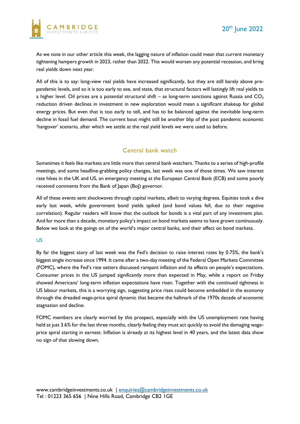

As we note in our other article this week, the lagging nature of inflation could mean that current monetary tightening hampers growth in 2023, rather than 2022. This would worsen any potential recession, and bring real yields down next year.

All of this is to say: long-view real yields have increased significantly, but they are still barely above prepandemic levels, and so it is too early to see, and state, that structural factors will lastingly lift real yields to a higher level. Oil prices are a potential structural shift – as long-term sanctions against Russia and  $CO<sub>2</sub>$ reduction driven declines in investment in new exploration would mean a significant shakeup for global energy prices. But even that is too early to tell, and has to be balanced against the inevitable long-term decline in fossil fuel demand. The current bout might still be another blip of the post pandemic economic 'hangover' scenario, after which we settle at the real yield levels we were used to before.

### Central bank watch

Sometimes it feels like markets are little more than central bank watchers. Thanks to a series of high-profile meetings, and some headline-grabbing policy changes, last week was one of those times. We saw interest rate hikes in the UK and US, an emergency meeting at the European Central Bank (ECB) and some poorly received comments from the Bank of Japan (BoJ) governor.

All of these events sent shockwaves through capital markets, albeit to varying degrees. Equities took a dive early last week, while government bond yields spiked (and bond values fell, due to their negative correlation). Regular readers will know that the outlook for bonds is a vital part of any investment plan. And for more than a decade, monetary policy's impact on bond markets seems to have grown continuously. Below we look at the goings on of the world's major central banks, and their effect on bond markets.

#### US

By far the biggest story of last week was the Fed's decision to raise interest rates by 0.75%, the bank's biggest single increase since 1994. It came after a two-day meeting of the Federal Open Markets Committee (FOMC), where the Fed's rate setters discussed rampant inflation and its effects on people's expectations. Consumer prices in the US jumped significantly more than expected in May, while a report on Friday showed Americans' long-term inflation expectations have risen. Together with the continued tightness in US labour markets, this is a worrying sign, suggesting price rises could become embedded in the economy through the dreaded wage-price spiral dynamic that became the hallmark of the 1970s decade of economic stagnation and decline.

FOMC members are clearly worried by this prospect, especially with the US unemployment rate having held at just 3.6% for the last three months, clearly feeling they must act quickly to avoid the damaging wageprice spiral starting in earnest. Inflation is already at its highest level in 40 years, and the latest data show no sign of that slowing down.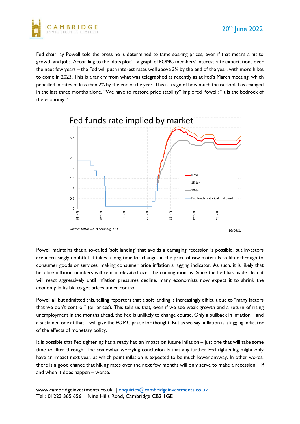



Fed chair lay Powell told the press he is determined to tame soaring prices, even if that means a hit to growth and jobs. According to the 'dots plot' – a graph of FOMC members' interest rate expectations over the next few years – the Fed will push interest rates well above 3% by the end of the year, with more hikes to come in 2023. This is a far cry from what was telegraphed as recently as at Fed's March meeting, which pencilled in rates of less than 2% by the end of the year. This is a sign of how much the outlook has changed in the last three months alone. "We have to restore price stability" implored Powell; "it is the bedrock of the economy."



Powell maintains that a so-called 'soft landing' that avoids a damaging recession is possible, but investors are increasingly doubtful. It takes a long time for changes in the price of raw materials to filter through to consumer goods or services, making consumer price inflation a lagging indicator. As such, it is likely that headline inflation numbers will remain elevated over the coming months. Since the Fed has made clear it will react aggressively until inflation pressures decline, many economists now expect it to shrink the economy in its bid to get prices under control.

Powell all but admitted this, telling reporters that a soft landing is increasingly difficult due to "many factors that we don't control" (oil prices). This tells us that, even if we see weak growth and a return of rising unemployment in the months ahead, the Fed is unlikely to change course. Only a pullback in inflation – and a sustained one at that – will give the FOMC pause for thought. But as we say, inflation is a lagging indicator of the effects of monetary policy.

It is possible that Fed tightening has already had an impact on future inflation – just one that will take some time to filter through. The somewhat worrying conclusion is that any further Fed tightening might only have an impact next year, at which point inflation is expected to be much lower anyway. In other words, there is a good chance that hiking rates over the next few months will only serve to make a recession – if and when it does happen – worse.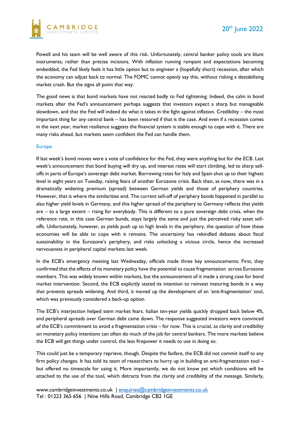

Powell and his team will be well aware of this risk. Unfortunately, central banker policy tools are blunt instruments, rather than precise incisions. With inflation running rampant and expectations becoming embedded, the Fed likely feels it has little option but to engineer a (hopefully short) recession, after which the economy can adjust back to normal. The FOMC cannot openly say this, without risking a destabilising market crash. But the signs all point that way.

The good news is that bond markets have not reacted badly to Fed tightening. Indeed, the calm in bond markets after the Fed's announcement perhaps suggests that investors expect a sharp but manageable slowdown, and that the Fed will indeed do what it takes in the fight against inflation. Credibility – the most important thing for any central bank – has been restored if that is the case. And even if a recession comes in the next year, market resilience suggests the financial system is stable enough to cope with it. There are many risks ahead, but markets seem confident the Fed can handle them.

#### Europe

If last week's bond moves were a vote of confidence for the Fed, they were anything but for the ECB. Last week's announcement that bond buying will dry up, and interest rates will start climbing, led to sharp selloffs in parts of Europe's sovereign debt market. Borrowing rates for Italy and Spain shot up to their highest level in eight years on Tuesday, raising fears of another Eurozone crisis. Back then, as now, there was in a dramatically widening premium (spread) between German yields and those of periphery countries. However, that is where the similarities end. The current sell-off of periphery bonds happened in parallel to also higher yield levels in Germany, and this higher spread of the periphery to Germany reflects that yields are – to a large extent – rising for everybody. This is different to a pure sovereign debt crisis, when the reference rate, in this case German bunds, stays largely the same and just the perceived risky asset selloffs. Unfortunately, however, as yields push up to high levels in the periphery, the question of how these economies will be able to cope with it remains. The uncertainty has rekindled debates about fiscal sustainability in the Eurozone's periphery, and risks unlocking a vicious circle, hence the increased nervousness in peripheral capital markets last week.

In the ECB's emergency meeting last Wednesday, officials made three key announcements: First, they confirmed that the effects of its monetary policy have the potential to cause fragmentation across Eurozone members. This was widely known within markets, but the announcement of it made a strong case for bond market intervention. Second, the ECB explicitly stated its intention to reinvest maturing bonds in a way that prevents spreads widening. And third, it moved up the development of an 'anti-fragmentation' tool, which was previously considered a back-up option.

The ECB's interjection helped stem market fears. Italian ten-year yields quickly dropped back below 4%, and peripheral spreads over German debt came down. The response suggested investors were convinced of the ECB's commitment to avoid a fragmentation crisis – for now. This is crucial, as clarity and credibility on monetary policy intentions can often do much of the job for central bankers. The more markets believe the ECB will get things under control, the less firepower it needs to use in doing so.

This could just be a temporary reprieve, though. Despite the fanfare, the ECB did not commit itself to any firm policy changes. It has told its team of researchers to hurry up in building an anti-fragmentation tool – but offered no timescale for using it. More importantly, we do not know yet which conditions will be attached to the use of the tool, which detracts from the clarity and credibility of the message. Similarly,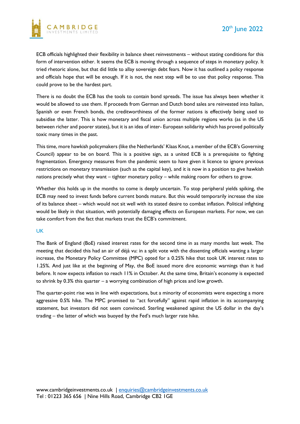

ECB officials highlighted their flexibility in balance sheet reinvestments – without stating conditions for this form of intervention either. It seems the ECB is moving through a sequence of steps in monetary policy. It tried rhetoric alone, but that did little to allay sovereign debt fears. Now it has outlined a policy response and officials hope that will be enough. If it is not, the next step will be to use that policy response. This could prove to be the hardest part.

There is no doubt the ECB has the tools to contain bond spreads. The issue has always been whether it would be allowed to use them. If proceeds from German and Dutch bond sales are reinvested into Italian, Spanish or even French bonds, the creditworthiness of the former nations is effectively being used to subsidise the latter. This is how monetary and fiscal union across multiple regions works (as in the US between richer and poorer states), but it is an idea of inter- European solidarity which has proved politically toxic many times in the past.

This time, more hawkish policymakers (like the Netherlands' Klaas Knot, a member of the ECB's Governing Council) appear to be on board. This is a positive sign, as a united ECB is a prerequisite to fighting fragmentation. Emergency measures from the pandemic seem to have given it licence to ignore previous restrictions on monetary transmission (such as the capital key), and it is now in a position to give hawkish nations precisely what they want – tighter monetary policy – while making room for others to grow.

Whether this holds up in the months to come is deeply uncertain. To stop peripheral yields spiking, the ECB may need to invest funds before current bonds mature. But this would temporarily increase the size of its balance sheet – which would not sit well with its stated desire to combat inflation. Political infighting would be likely in that situation, with potentially damaging effects on European markets. For now, we can take comfort from the fact that markets trust the ECB's commitment.

#### UK

The Bank of England (BoE) raised interest rates for the second time in as many months last week. The meeting that decided this had an air of déjà vu: in a split vote with the dissenting officials wanting a larger increase, the Monetary Policy Committee (MPC) opted for a 0.25% hike that took UK interest rates to 1.25%. And just like at the beginning of May, the BoE issued more dire economic warnings than it had before. It now expects inflation to reach 11% in October. At the same time, Britain's economy is expected to shrink by 0.3% this quarter – a worrying combination of high prices and low growth.

The quarter-point rise was in line with expectations, but a minority of economists were expecting a more aggressive 0.5% hike. The MPC promised to "act forcefully" against rapid inflation in its accompanying statement, but investors did not seem convinced. Sterling weakened against the US dollar in the day's trading – the latter of which was buoyed by the Fed's much larger rate hike.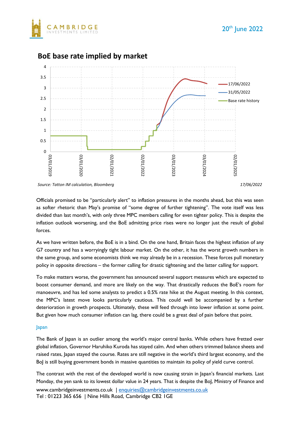



## **BoE base rate implied by market**

*Source: Tatton IM calculation, Bloomberg 17/06/2022*

Officials promised to be "particularly alert" to inflation pressures in the months ahead, but this was seen as softer rhetoric than May's promise of "some degree of further tightening". The vote itself was less divided than last month's, with only three MPC members calling for even tighter policy. This is despite the inflation outlook worsening, and the BoE admitting price rises were no longer just the result of global forces.

As we have written before, the BoE is in a bind. On the one hand, Britain faces the highest inflation of any G7 country and has a worryingly tight labour market. On the other, it has the worst growth numbers in the same group, and some economists think we may already be in a recession. These forces pull monetary policy in opposite directions – the former calling for drastic tightening and the latter calling for support.

To make matters worse, the government has announced several support measures which are expected to boost consumer demand, and more are likely on the way. That drastically reduces the BoE's room for manoeuvre, and has led some analysts to predict a 0.5% rate hike at the August meeting. In this context, the MPC's latest move looks particularly cautious. This could well be accompanied by a further deterioration in growth prospects. Ultimately, these will feed through into lower inflation at some point. But given how much consumer inflation can lag, there could be a great deal of pain before that point.

#### Japan

The Bank of Japan is an outlier among the world's major central banks. While others have fretted over global inflation, Governor Haruhiko Kuroda has stayed calm. And when others trimmed balance sheets and raised rates, Japan stayed the course. Rates are still negative in the world's third largest economy, and the BoJ is still buying government bonds in massive quantities to maintain its policy of yield curve control.

The contrast with the rest of the developed world is now causing strain in Japan's financial markets. Last Monday, the yen sank to its lowest dollar value in 24 years. That is despite the BoJ, Ministry of Finance and

www.cambridgeinvestments.co.uk | [enquiries@cambridgeinvestments.co.uk](mailto:enquiries@cambridgeinvestments.co.uk) Tel : 01223 365 656 | Nine Hills Road, Cambridge CB2 1GE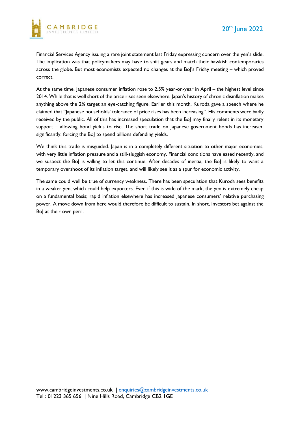

Financial Services Agency issuing a rare joint statement last Friday expressing concern over the yen's slide. The implication was that policymakers may have to shift gears and match their hawkish contemporaries across the globe. But most economists expected no changes at the BoJ's Friday meeting – which proved correct.

At the same time, Japanese consumer inflation rose to 2.5% year-on-year in April – the highest level since 2014. While that is well short of the price rises seen elsewhere, Japan's history of chronic disinflation makes anything above the 2% target an eye-catching figure. Earlier this month, Kuroda gave a speech where he claimed that "Japanese households' tolerance of price rises has been increasing". His comments were badly received by the public. All of this has increased speculation that the BoJ may finally relent in its monetary support – allowing bond yields to rise. The short trade on Japanese government bonds has increased significantly, forcing the BoJ to spend billions defending yields.

We think this trade is misguided. Japan is in a completely different situation to other major economies, with very little inflation pressure and a still-sluggish economy. Financial conditions have eased recently, and we suspect the BoJ is willing to let this continue. After decades of inertia, the BoJ is likely to want a temporary overshoot of its inflation target, and will likely see it as a spur for economic activity.

The same could well be true of currency weakness. There has been speculation that Kuroda sees benefits in a weaker yen, which could help exporters. Even if this is wide of the mark, the yen is extremely cheap on a fundamental basis; rapid inflation elsewhere has increased Japanese consumers' relative purchasing power. A move down from here would therefore be difficult to sustain. In short, investors bet against the BoJ at their own peril.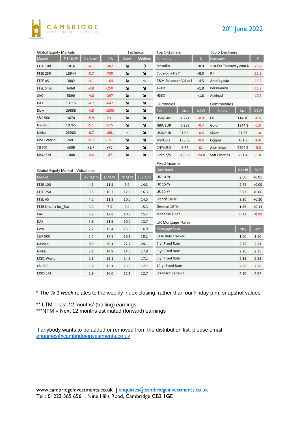

## 20th June 2022

| <b>Global Equity Markets</b>             |           |           |         |                | <b>Technical</b> | <b>Top 5 Gainers</b>            |        |         | <b>Top 5 Decliners</b>  |        |                                                                                |
|------------------------------------------|-----------|-----------|---------|----------------|------------------|---------------------------------|--------|---------|-------------------------|--------|--------------------------------------------------------------------------------|
| Market                                   | Fri 16:49 | %1 Week*  | 1 W     | <b>Short</b>   | <b>Medium</b>    | Company                         |        | %       | Company                 |        | $% \mathcal{A}\left( \mathcal{A}\right) =\mathcal{A}\left( \mathcal{A}\right)$ |
| <b>FTSE 100</b>                          | 7016      | $-4.1$    | $-302$  | N              | →                | Fresnillo                       |        | $+8.9$  | Just Eat Takeaway.com N |        | $-20.2$                                                                        |
| <b>FTSE 250</b>                          | 18944     | $-3.7$    | $-730$  | ×              | N                | Coca-Cola HBC                   |        | $+8.0$  | <b>BP</b>               |        | $-12.8$                                                                        |
| <b>FTSE AS</b>                           | 3882      | $-4.1$    | $-164$  | N              | $\infty$         | <b>B&amp;M European Value I</b> |        | $+4.5$  | Antofagasta             |        | $-11.2$                                                                        |
| <b>FTSE Small</b>                        | 6368      | $-3.8$    | $-250$  | ×              | N                | Avast                           |        | $+1.8$  | Persimmon               |        | $-11.2$                                                                        |
| <b>CAC</b>                               | 5890      | $-4.8$    | $-297$  | N              | N                | <b>HSBC</b>                     |        | $+1.8$  | Ashtead                 |        | $-10.3$                                                                        |
| <b>DAX</b>                               | 13115     | $-4.7$    | $-647$  | ×              | ¥                | <b>Currencies</b>               |        |         | Commodities             |        |                                                                                |
| Dow                                      | 29888     | $-4.8$    | $-1505$ | N              | N                | Pair                            | last   | %1W     | Cmdty                   | last   | %1W                                                                            |
| <b>S&amp;P 500</b>                       | 3670      | $-5.9$    | $-231$  | N              | N                | USD/GBP                         | 1.221  | $-0.9$  | Oil                     | 114.10 | $-6.5$                                                                         |
| Nasdaq                                   | 10765     | $-5.1$    | $-575$  | N              | N                | <b>GBP/EUR</b>                  | 0.858  | $-0.4$  | Gold                    | 1844.3 | $-1.5$                                                                         |
| Nikkei                                   | 25963     | $-6.7$    | $-1861$ | $\mathfrak{A}$ | N                | USD/EUR                         | 1.05   | $-0.5$  | Silver                  | 21.67  | $-1.0$                                                                         |
| <b>MSCI World</b>                        | 2491      | $-5.7$    | $-151$  | N              | N                | <b>JPY/USD</b>                  | 135.00 | $-0.4$  | Copper                  | 401.3  | $-6.6$                                                                         |
| <b>CSI 300</b>                           | 4309      | $+1.7$    | $+70$   | N              | N                | CNY/USD                         | 6.72   | $-0.1$  | Aluminium               | 2504.5 | $-9.3$                                                                         |
| <b>MSCI EM</b>                           | 1008      | $-4.4$    | $-47$   | N              | N                | Bitcoin/\$                      | 20,558 | $-24.8$ | <b>Soft Cmdties</b>     | 231.4  | $-1.0$                                                                         |
|                                          |           |           |         |                |                  | <b>Fixed Income</b>             |        |         |                         |        |                                                                                |
| <b>Global Equity Market - Valuations</b> |           |           |         |                |                  | Govt bond                       |        |         |                         | %Yield | 1 W CH                                                                         |
| Market                                   |           | Div YLD % | LTM PE  | <b>NTM PE</b>  | 10Y AVG          | <b>UK 10-Yr</b>                 |        |         |                         | 2.50   | $+0.05$                                                                        |
| <b>FTSE 100</b>                          |           | 4.3       | 11.5    | 9.7            | 14.3             | <b>UK 15-Yr</b>                 |        |         |                         | 2.72   | $+0.09$                                                                        |
| <b>FTSE 250</b>                          |           | 3.5       | 10.3    | 12.9           | 16.3             | <b>US 10-Yr</b>                 |        |         |                         | 3.22   | $+0.06$                                                                        |
| <b>FTSE AS</b>                           |           | 4.2       | 11.3    | 10.0           | 14.5             | French 10-Yr                    | 2.20   | $+0.10$ |                         |        |                                                                                |
| FTSE Small x Inv_Tsts                    |           | 3.3       | 7.5     | 9.4            | 15.3             | German 10-Yr                    |        |         |                         | 1.66   | $+0.14$                                                                        |
| <b>CAC</b>                               |           | 3.2       | 12.8    | 10.3           | 15.2             | Japanese 10-Yr                  |        |         |                         | 0.23   | $-0.03$                                                                        |
| <b>DAX</b>                               |           | 3.6       | 11.6    | 10.9           | 13.7             | <b>UK Mortgage Rates</b>        |        |         |                         |        |                                                                                |
| Dow                                      |           | 2.2       | 15.4    | 15.6           | 16.9             | <b>Mortgage Rates</b><br>May    |        |         |                         |        | Apr                                                                            |
| <b>S&amp;P 500</b>                       |           | 1.7       | 17.8    | 16.1           | 18.2             | <b>Base Rate Tracker</b>        |        |         |                         |        | 1.50                                                                           |
| Nasdaq                                   |           | 0.9       | 20.1    | 22.7           | 24.1             | 2-yr Fixed Rate                 |        |         |                         |        | 2.24                                                                           |
| Nikkei                                   |           | 2.1       | 14.9    | 14.6           | 17.8             | 3-yr Fixed Rate                 |        |         |                         | 2.26   | 2.15                                                                           |
| <b>MSCI World</b>                        |           | 2.3       | 15.1    | 14.6           | 17.1             | 5-yr Fixed Rate                 |        |         |                         | 2.36   | 2.25                                                                           |
| <b>CSI 300</b>                           |           | 1.8       | 15.1    | 13.9           | 12.7             | 10-yr Fixed Rate                |        |         |                         | 2.68   | 2.58                                                                           |
| <b>MSCI EM</b>                           |           | 2.9       | 10.0    | 11.1           | 12.7             | <b>Standard Variable</b>        |        |         |                         |        | 4.07                                                                           |

\* The *% 1 week* relates to the weekly index closing, rather than our Friday p.m. snapshot values

\*\* LTM = last 12 months' (trailing) earnings;

\*\*\*NTM = Next 12 months estimated (forward) earnings

If anybody wants to be added or removed from the distribution list, please email [enquiries@cambridgeinvestments.co.uk](mailto:enquiries@cambridgeinvestments.co.uk)